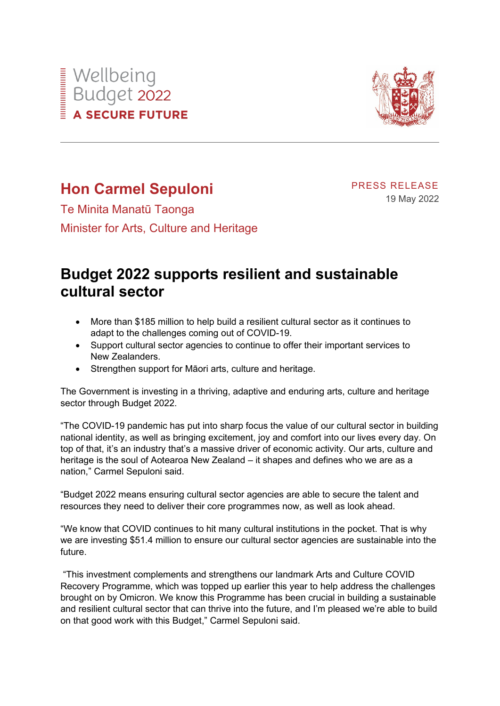



## **Hon Carmel Sepuloni**

PRESS RELEASE 19 May 2022

Te Minita Manatū Taonga Minister for Arts, Culture and Heritage

## **Budget 2022 supports resilient and sustainable cultural sector**

- More than \$185 million to help build a resilient cultural sector as it continues to adapt to the challenges coming out of COVID-19.
- Support cultural sector agencies to continue to offer their important services to New Zealanders.
- Strengthen support for Māori arts, culture and heritage.

The Government is investing in a thriving, adaptive and enduring arts, culture and heritage sector through Budget 2022.

"The COVID-19 pandemic has put into sharp focus the value of our cultural sector in building national identity, as well as bringing excitement, joy and comfort into our lives every day. On top of that, it's an industry that's a massive driver of economic activity. Our arts, culture and heritage is the soul of Aotearoa New Zealand – it shapes and defines who we are as a nation," Carmel Sepuloni said.

"Budget 2022 means ensuring cultural sector agencies are able to secure the talent and resources they need to deliver their core programmes now, as well as look ahead.

"We know that COVID continues to hit many cultural institutions in the pocket. That is why we are investing \$51.4 million to ensure our cultural sector agencies are sustainable into the future.

"This investment complements and strengthens our landmark Arts and Culture COVID Recovery Programme, which was topped up earlier this year to help address the challenges brought on by Omicron. We know this Programme has been crucial in building a sustainable and resilient cultural sector that can thrive into the future, and I'm pleased we're able to build on that good work with this Budget," Carmel Sepuloni said.